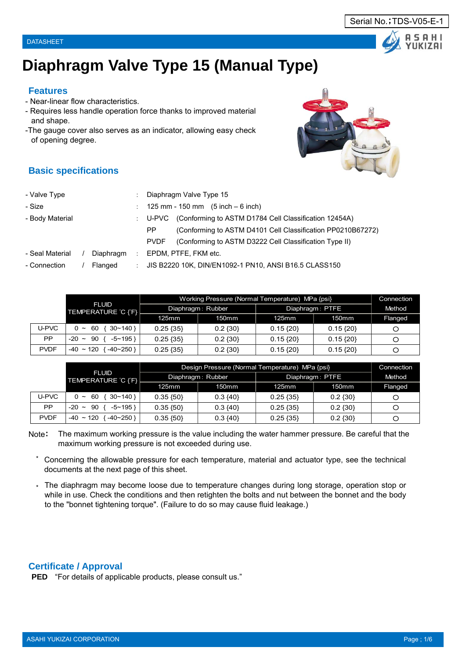# **Diaphragm Valve Type 15 (Manual Type)**

#### **Features**

- Near-linear flow characteristics.
- Requires less handle operation force thanks to improved material and shape.
- -The gauge cover also serves as an indicator, allowing easy check of opening degree.

- Valve Type : Diaphragm Valve Type 15

#### **Basic specifications**

| - Size          |           |                      | 125 mm - 150 mm $(5$ inch – 6 inch)                                   |  |
|-----------------|-----------|----------------------|-----------------------------------------------------------------------|--|
| - Body Material |           |                      | (Conforming to ASTM D1784 Cell Classification 12454A)<br>U-PVC        |  |
|                 |           |                      | (Conforming to ASTM D4101 Cell Classification PP0210B67272)<br>PP.    |  |
|                 |           |                      | (Conforming to ASTM D3222 Cell Classification Type II)<br><b>PVDF</b> |  |
| - Seal Material | Diaphragm | $\ddot{\phantom{a}}$ | EPDM, PTFE, FKM etc.                                                  |  |
| - Connection    | Flanged   | ÷                    | JIS B2220 10K, DIN/EN1092-1 PN10, ANSI B16.5 CLASS150                 |  |
|                 |           |                      |                                                                       |  |
|                 |           |                      |                                                                       |  |

|             |                                                |               | Working Pressure (Normal Temperature) MPa {psi} |                 |              |         |  |  |  |  |
|-------------|------------------------------------------------|---------------|-------------------------------------------------|-----------------|--------------|---------|--|--|--|--|
|             | <b>FLUID</b><br>TEMPERATURE C ('F}             |               | Diaphragm: Rubber                               | Diaphragm: PTFE | Method       |         |  |  |  |  |
|             |                                                | $125$ mm      | 150mm                                           | 125mm           | 150mm        | Flanged |  |  |  |  |
| U-PVC       | $30 - 140$<br>60<br>0<br>$\tilde{\phantom{a}}$ | $0.25 \{35\}$ | $0.2 \{30\}$                                    | $0.15\{20\}$    | $0.15\{20\}$ | О       |  |  |  |  |
| РP          | 90<br>$-5$ ~ 195 }<br>$-20$ ~                  | $0.25 \{35\}$ | $0.2 \{30\}$                                    | $0.15\{20\}$    | $0.15\{20\}$ | Ő       |  |  |  |  |
| <b>PVDF</b> | $-40 - 120$<br>-40~250 }                       | $0.25 \{35\}$ | $0.2 \{30\}$                                    | $0.15\{20\}$    | $0.15\{20\}$ | O       |  |  |  |  |

|             |                                    |               | Design Pressure (Normal Temperature) MPa {psi} |                 |                   |         |  |  |  |  |
|-------------|------------------------------------|---------------|------------------------------------------------|-----------------|-------------------|---------|--|--|--|--|
|             | <b>FLUID</b><br>TEMPERATURE C (F)  |               | Diaphragm: Rubber                              | Diaphragm: PTFE | Method            |         |  |  |  |  |
|             |                                    | 125mm         | 150mm                                          | 125mm           | 150 <sub>mm</sub> | Flanged |  |  |  |  |
| U-PVC       | $\{30~140\}$<br>$0 \sim 60$        | $0.35 \{50\}$ | $0.3 \{40\}$                                   | $0.25 \{35\}$   | $0.2 \{30\}$      | О       |  |  |  |  |
| <b>PP</b>   | $-5$ ~ 195 }<br>$-20 - 90$         | $0.35 \{50\}$ | $0.3 \{40\}$                                   | $0.25 \{35\}$   | $0.2 \{30\}$      | О       |  |  |  |  |
| <b>PVDF</b> | $-40 \sim 120$<br>$-40 \sim 250$ } | $0.35\{50\}$  | $0.3 \{40\}$                                   | $0.25 \{35\}$   | $0.2 \{30\}$      | О       |  |  |  |  |

Note: The maximum working pressure is the value including the water hammer pressure. Be careful that the maximum working pressure is not exceeded during use.

- \* Concerning the allowable pressure for each temperature, material and actuator type, see the technical documents at the next page of this sheet.
- \* The diaphragm may become loose due to temperature changes during long storage, operation stop or while in use. Check the conditions and then retighten the bolts and nut between the bonnet and the body to the "bonnet tightening torque". (Failure to do so may cause fluid leakage.)

#### **Certificate / Approval**

**PED** "For details of applicable products, please consult us."



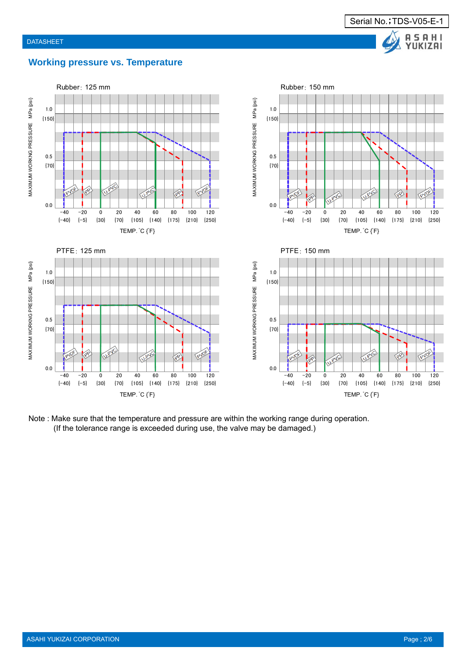

#### **Working pressure vs. Temperature**



Note : Make sure that the temperature and pressure are within the working range during operation. (If the tolerance range is exceeded during use, the valve may be damaged.)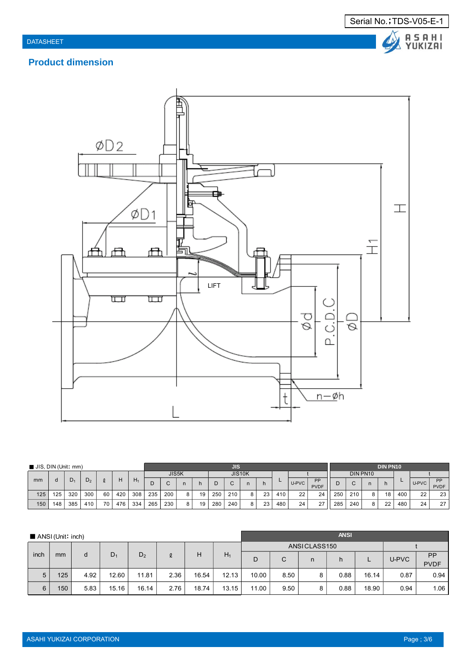



# **Product dimension**



| $\blacksquare$ JIS, DIN (Unit: mm) |     |     |                |    |     |       |       |     |   |    |        | <b>JIS</b> |   |    |     |       | <b>DIN PN10</b>   |     |     |   |    |          |       |                   |
|------------------------------------|-----|-----|----------------|----|-----|-------|-------|-----|---|----|--------|------------|---|----|-----|-------|-------------------|-----|-----|---|----|----------|-------|-------------------|
|                                    |     |     |                |    |     |       | JIS5K |     |   |    | JIS10K |            |   |    |     |       | DIN PN10          |     |     |   |    |          |       |                   |
| mm                                 |     | D1  | D <sub>2</sub> |    | Н   | $H_1$ | Ð     |     |   |    |        |            |   | h  |     | U-PVC | PP<br><b>PVDF</b> |     |     |   |    | <u>_</u> | U-PVC | <b>DD</b><br>PVDF |
| 125                                | 125 | 320 | 300            | 60 | 420 | 308   | 235   | 200 | 8 | 19 | 250    | 210        | 8 | 23 | 410 | 22    | 24                | 250 | 210 |   | 18 | 400      | 22    | 23                |
| 150                                | 148 | 385 | 410            | 70 | 476 | 334   | 265   | 230 | 8 | 19 | 280    | 240        |   | 23 | 480 | 24    | 27                | 285 | 240 | 8 | 22 | 480      | 24    | 27                |

|      | $\blacksquare$ ANSI (Unit: inch) |      |                |                |      |       |       |              |      |   | <b>ANSI</b> |       |       |                          |  |
|------|----------------------------------|------|----------------|----------------|------|-------|-------|--------------|------|---|-------------|-------|-------|--------------------------|--|
|      |                                  |      |                |                |      |       |       | ANSICLASS150 |      |   |             |       |       |                          |  |
| inch | mm                               | d    | D <sub>1</sub> | D <sub>2</sub> | l    | Н     | $H_1$ | D            | C    | n | h           |       | U-PVC | <b>PP</b><br><b>PVDF</b> |  |
| 5    | 125                              | 4.92 | 12.60          | 11.81          | 2.36 | 16.54 | 12.13 | 10.00        | 8.50 | 8 | 0.88        | 16.14 | 0.87  | 0.94                     |  |
| 6    | 150                              | 5.83 | 15.16          | 16.14          | 2.76 | 18.74 | 13.15 | 11.00        | 9.50 | 8 | 0.88        | 18.90 | 0.94  | 1.06                     |  |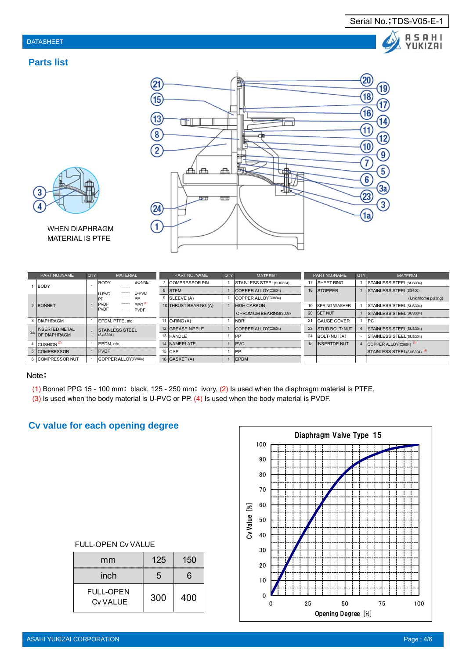



WHEN DIAPHRAGM MATERIAL IS PTFE

|    | PART NO./NAME          | <b>QTY</b> | <b>MATERIAL</b>                            | PART NO./NAME         | <b>QTY</b> | <b>MATERIAL</b>                |    | PART NO./NAME         | <b>QTY</b> | <b>MATERIAL</b>                        |
|----|------------------------|------------|--------------------------------------------|-----------------------|------------|--------------------------------|----|-----------------------|------------|----------------------------------------|
|    | <b>BODY</b>            |            | <b>BONNET</b><br>BODY                      | <b>COMPRESSOR PIN</b> |            | <b>STAINLESS STEEL(SUS304)</b> | 17 | <b>SHEET RING</b>     |            | <b>STAINLESS STEEL(SUS304)</b>         |
|    |                        |            | <b>U-PVC</b><br><b>IU-PVC</b><br>------    | 8 STEM                |            | ICOPPER ALLOY(C3604)           | 18 | <b>STOPPER</b>        |            | <b>STAINLESS STEEL(SS400)</b>          |
|    |                        |            | PP                                         | 9 SLEEVE (A)          |            | ICOPPER ALLOY(C3604)           |    |                       |            | (Unichrome plating)                    |
|    | 2 BONNET               |            | PVDF<br>PPG <sup>(1)</sup><br><b>IPVDF</b> | 10 THRUST BEARING (A) |            | <b>HIGH CARBON</b>             | 19 | <b>ISPRING WASHER</b> |            | STAINLESS STEEL(SUS304)                |
|    |                        |            | <b>PVDF</b>                                |                       |            | CHROMIUM BEARING(SUJ2)         | 20 | <b>ISET NUT</b>       |            | STAINLESS STEEL(SUS304)                |
|    | 3 DIAPHRAGM            |            | IEPDM. PTFE. etc.                          | 11   O-RING (A)       |            | <b>NBR</b>                     | 21 | <b>IGAUGE COVER</b>   |            | IPC.                                   |
| 3a | INSERTED METAL         |            | <b>STAINLESS STEEL</b>                     | 12 GREASE NIPPLE      |            | ICOPPER ALLOY(C3604)           | 23 | <b>STUD BOLT</b> NUT  |            | <b>STAINLESS STEEL(SUS304)</b>         |
|    | <b>OF DIAPHRAGM</b>    |            | (SUS304)                                   | 13 HANDLE             |            | <b>IPP</b>                     | 24 | $IBOLT\cdot NUT(A)$   |            | <b>STAINLESS STEEL(SUS304)</b>         |
|    | CUSHION <sup>(2)</sup> |            | EPDM, etc.                                 | 14 NAMEPLATE          |            | <b>PVC</b>                     | 1a | <b>INSERTDE NUT</b>   |            | COPPER ALLOY(C3604) <sup>(3)</sup>     |
|    | 5 COMPRESSOR           |            | <b>PVDF</b>                                | $15$ CAP              |            | <b>IPP</b>                     |    |                       |            | STAINLESS STEEL(SUS304) <sup>(4)</sup> |
|    | 6 COMPRESSOR NUT       |            | ICOPPER ALLOY(C3604)                       | 16 GASKET (A)         |            | <b>IEPDM</b>                   |    |                       |            |                                        |

#### Note:

- (1) Bonnet PPG 15 100 mm: black. 125 250 mm: ivory. (2) Is used when the diaphragm material is PTFE.
- (3) Is used when the body material is U-PVC or PP. (4) Is used when the body material is PVDF.

 $(2)$ 

15

13

 $\overline{\mathbf{8}}$ 

 $\overline{2}$ 

 $(24)$ 

 $\mathbf{1}$ 

# **Cv value for each opening degree**

| mm                                  | 125 | 150 |  |  |  |  |  |  |  |  |
|-------------------------------------|-----|-----|--|--|--|--|--|--|--|--|
| inch                                | 5   | 6   |  |  |  |  |  |  |  |  |
| <b>FULL-OPEN</b><br><b>Cv VALUE</b> | 300 | 400 |  |  |  |  |  |  |  |  |

FULL-OPEN Cv VALUE

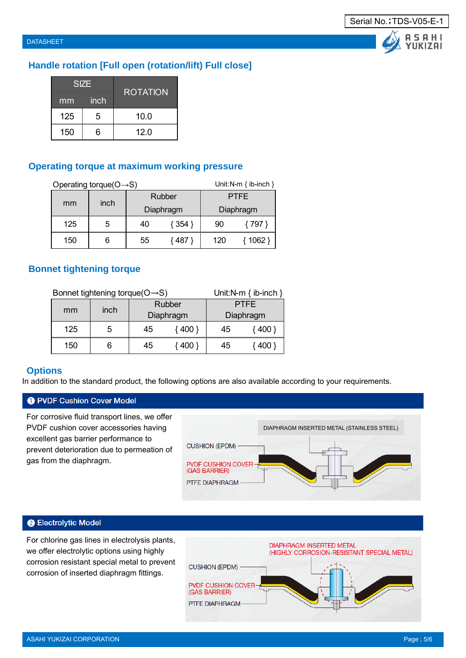**ASAHI** YUKIZAI

### **Handle rotation [Full open (rotation/lift) Full close]**

|     | <b>SIZE</b> | <b>ROTATION</b> |
|-----|-------------|-----------------|
| mm  | inch        |                 |
| 125 | 5           | 10.0            |
| 150 | ิค          | 12.0            |

#### **Operating torque at maximum working pressure**

|     | Operating torque( $O \rightarrow S$ ) |    | Unit: N-m $\{$ ib-inch $\}$ |             |           |  |
|-----|---------------------------------------|----|-----------------------------|-------------|-----------|--|
|     |                                       |    | Rubber                      | <b>PTFE</b> |           |  |
| mm  | inch                                  |    | Diaphragm                   |             | Diaphragm |  |
| 125 | 5                                     | 40 | { 354 }                     | 90          | { 797 }   |  |
| 150 |                                       | 55 | 487 }                       | 120         | $1062$ }  |  |

#### **Bonnet tightening torque**

|     | Bonnet tightening torque( $O \rightarrow S$ ) |    | Unit:N-m $\{ ib\text{-inch }\}$ |             |         |  |
|-----|-----------------------------------------------|----|---------------------------------|-------------|---------|--|
| mm  |                                               |    | Rubber                          | <b>PTFE</b> |         |  |
|     | inch                                          |    | Diaphragm                       | Diaphragm   |         |  |
| 125 | 5                                             | 45 | 400 }                           | 45          | $400$ } |  |
| 150 |                                               | 45 | 400 }                           | 45          |         |  |

#### **Options**

In addition to the standard product, the following options are also available according to your requirements.

#### **O** PVDF Cushion Cover Model

For corrosive fluid transport lines, we offer PVDF cushion cover accessories having excellent gas barrier performance to prevent deterioration due to permeation of gas from the diaphragm.



#### **@ Electrolytic Model**

For chlorine gas lines in electrolysis plants, we offer electrolytic options using highly corrosion resistant special metal to prevent corrosion of inserted diaphragm fittings.